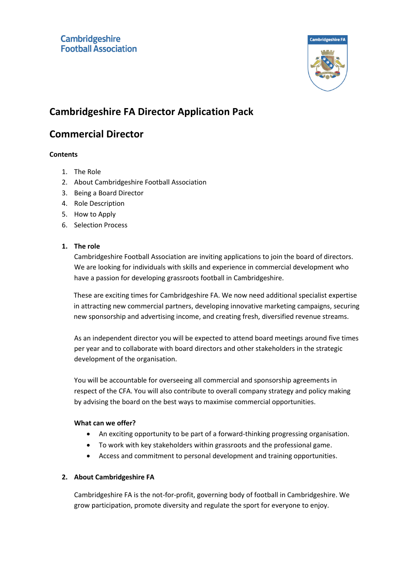

# **Cambridgeshire FA Director Application Pack**

# **Commercial Director**

## **Contents**

- 1. The Role
- 2. About Cambridgeshire Football Association
- 3. Being a Board Director
- 4. Role Description
- 5. How to Apply
- 6. Selection Process

## **1. The role**

Cambridgeshire Football Association are inviting applications to join the board of directors. We are looking for individuals with skills and experience in commercial development who have a passion for developing grassroots football in Cambridgeshire.

These are exciting times for Cambridgeshire FA. We now need additional specialist expertise in attracting new commercial partners, developing innovative marketing campaigns, securing new sponsorship and advertising income, and creating fresh, diversified revenue streams.

As an independent director you will be expected to attend board meetings around five times per year and to collaborate with board directors and other stakeholders in the strategic development of the organisation.

You will be accountable for overseeing all commercial and sponsorship agreements in respect of the CFA. You will also contribute to overall company strategy and policy making by advising the board on the best ways to maximise commercial opportunities.

#### **What can we offer?**

- An exciting opportunity to be part of a forward-thinking progressing organisation.
- To work with key stakeholders within grassroots and the professional game.
- Access and commitment to personal development and training opportunities.

#### **2. About Cambridgeshire FA**

Cambridgeshire FA is the not-for-profit, governing body of football in Cambridgeshire. We grow participation, promote diversity and regulate the sport for everyone to enjoy.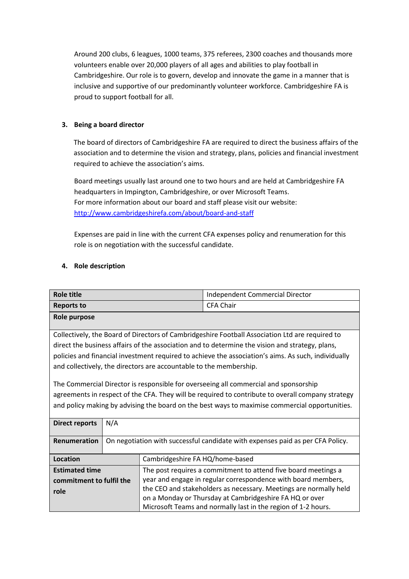Around 200 clubs, 6 leagues, 1000 teams, 375 referees, 2300 coaches and thousands more volunteers enable over 20,000 players of all ages and abilities to play football in Cambridgeshire. Our role is to govern, develop and innovate the game in a manner that is inclusive and supportive of our predominantly volunteer workforce. Cambridgeshire FA is proud to support football for all.

# **3. Being a board director**

The board of directors of Cambridgeshire FA are required to direct the business affairs of the association and to determine the vision and strategy, plans, policies and financial investment required to achieve the association's aims.

Board meetings usually last around one to two hours and are held at Cambridgeshire FA headquarters in Impington, Cambridgeshire, or over Microsoft Teams. For more information about our board and staff please visit our website: <http://www.cambridgeshirefa.com/about/board-and-staff>

Expenses are paid in line with the current CFA expenses policy and renumeration for this role is on negotiation with the successful candidate.

#### **4. Role description**

| <b>Role title</b>                                                                                   |                                                                                |                                 | Independent Commercial Director                                                                 |  |  |  |
|-----------------------------------------------------------------------------------------------------|--------------------------------------------------------------------------------|---------------------------------|-------------------------------------------------------------------------------------------------|--|--|--|
| <b>Reports to</b>                                                                                   |                                                                                |                                 | <b>CFA Chair</b>                                                                                |  |  |  |
| Role purpose                                                                                        |                                                                                |                                 |                                                                                                 |  |  |  |
|                                                                                                     |                                                                                |                                 |                                                                                                 |  |  |  |
| Collectively, the Board of Directors of Cambridgeshire Football Association Ltd are required to     |                                                                                |                                 |                                                                                                 |  |  |  |
|                                                                                                     |                                                                                |                                 | direct the business affairs of the association and to determine the vision and strategy, plans, |  |  |  |
| policies and financial investment required to achieve the association's aims. As such, individually |                                                                                |                                 |                                                                                                 |  |  |  |
| and collectively, the directors are accountable to the membership.                                  |                                                                                |                                 |                                                                                                 |  |  |  |
|                                                                                                     |                                                                                |                                 |                                                                                                 |  |  |  |
| The Commercial Director is responsible for overseeing all commercial and sponsorship                |                                                                                |                                 |                                                                                                 |  |  |  |
| agreements in respect of the CFA. They will be required to contribute to overall company strategy   |                                                                                |                                 |                                                                                                 |  |  |  |
| and policy making by advising the board on the best ways to maximise commercial opportunities.      |                                                                                |                                 |                                                                                                 |  |  |  |
|                                                                                                     |                                                                                |                                 |                                                                                                 |  |  |  |
| <b>Direct reports</b>                                                                               | N/A                                                                            |                                 |                                                                                                 |  |  |  |
|                                                                                                     |                                                                                |                                 |                                                                                                 |  |  |  |
| <b>Renumeration</b>                                                                                 | On negotiation with successful candidate with expenses paid as per CFA Policy. |                                 |                                                                                                 |  |  |  |
|                                                                                                     |                                                                                |                                 |                                                                                                 |  |  |  |
| Location                                                                                            |                                                                                | Cambridgeshire FA HQ/home-based |                                                                                                 |  |  |  |
| <b>Estimated time</b>                                                                               |                                                                                |                                 | The post requires a commitment to attend five board meetings a                                  |  |  |  |
| commitment to fulfil the                                                                            |                                                                                |                                 | year and engage in regular correspondence with board members,                                   |  |  |  |
| role                                                                                                |                                                                                |                                 | the CEO and stakeholders as necessary. Meetings are normally held                               |  |  |  |
|                                                                                                     |                                                                                |                                 | on a Monday or Thursday at Cambridgeshire FA HQ or over                                         |  |  |  |
|                                                                                                     |                                                                                |                                 | Microsoft Teams and normally last in the region of 1-2 hours.                                   |  |  |  |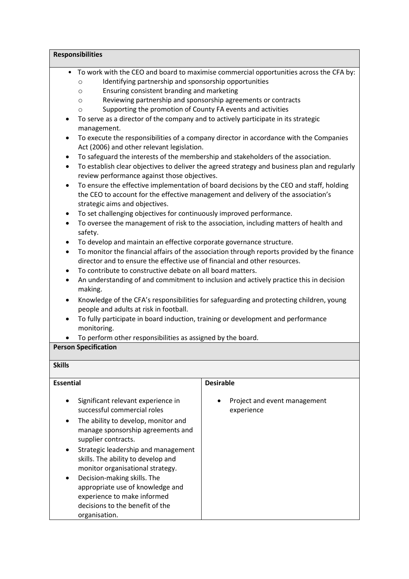| <b>Responsibilities</b>                                                                                                                                                                                                                                                                                                                                            |                                                                                                                                                                                                                                                                                                                                                                                                                                                                                                                                                                                                                                                                                                                                                                                                                                                                                                                                                                                                                                                                                                                                                                                                                                                                                                                                                                                                                                                                                                                                                                                                                                                             |  |  |  |  |  |
|--------------------------------------------------------------------------------------------------------------------------------------------------------------------------------------------------------------------------------------------------------------------------------------------------------------------------------------------------------------------|-------------------------------------------------------------------------------------------------------------------------------------------------------------------------------------------------------------------------------------------------------------------------------------------------------------------------------------------------------------------------------------------------------------------------------------------------------------------------------------------------------------------------------------------------------------------------------------------------------------------------------------------------------------------------------------------------------------------------------------------------------------------------------------------------------------------------------------------------------------------------------------------------------------------------------------------------------------------------------------------------------------------------------------------------------------------------------------------------------------------------------------------------------------------------------------------------------------------------------------------------------------------------------------------------------------------------------------------------------------------------------------------------------------------------------------------------------------------------------------------------------------------------------------------------------------------------------------------------------------------------------------------------------------|--|--|--|--|--|
| $\circ$<br>O<br>$\circ$<br>$\circ$<br>٠<br>management.<br>٠<br>٠<br>$\bullet$<br>٠<br>strategic aims and objectives.<br>٠<br>$\bullet$<br>safety.<br>$\bullet$<br>$\bullet$<br>$\bullet$<br>٠<br>making.<br>$\bullet$<br>people and adults at risk in football.<br>To fully participate in board induction, training or development and performance<br>monitoring. | • To work with the CEO and board to maximise commercial opportunities across the CFA by:<br>Identifying partnership and sponsorship opportunities<br>Ensuring consistent branding and marketing<br>Reviewing partnership and sponsorship agreements or contracts<br>Supporting the promotion of County FA events and activities<br>To serve as a director of the company and to actively participate in its strategic<br>To execute the responsibilities of a company director in accordance with the Companies<br>Act (2006) and other relevant legislation.<br>To safeguard the interests of the membership and stakeholders of the association.<br>To establish clear objectives to deliver the agreed strategy and business plan and regularly<br>review performance against those objectives.<br>To ensure the effective implementation of board decisions by the CEO and staff, holding<br>the CEO to account for the effective management and delivery of the association's<br>To set challenging objectives for continuously improved performance.<br>To oversee the management of risk to the association, including matters of health and<br>To develop and maintain an effective corporate governance structure.<br>To monitor the financial affairs of the association through reports provided by the finance<br>director and to ensure the effective use of financial and other resources.<br>To contribute to constructive debate on all board matters.<br>An understanding of and commitment to inclusion and actively practice this in decision<br>Knowledge of the CFA's responsibilities for safeguarding and protecting children, young |  |  |  |  |  |
| To perform other responsibilities as assigned by the board.                                                                                                                                                                                                                                                                                                        |                                                                                                                                                                                                                                                                                                                                                                                                                                                                                                                                                                                                                                                                                                                                                                                                                                                                                                                                                                                                                                                                                                                                                                                                                                                                                                                                                                                                                                                                                                                                                                                                                                                             |  |  |  |  |  |
| <b>Person Specification</b>                                                                                                                                                                                                                                                                                                                                        |                                                                                                                                                                                                                                                                                                                                                                                                                                                                                                                                                                                                                                                                                                                                                                                                                                                                                                                                                                                                                                                                                                                                                                                                                                                                                                                                                                                                                                                                                                                                                                                                                                                             |  |  |  |  |  |
| <b>Skills</b>                                                                                                                                                                                                                                                                                                                                                      |                                                                                                                                                                                                                                                                                                                                                                                                                                                                                                                                                                                                                                                                                                                                                                                                                                                                                                                                                                                                                                                                                                                                                                                                                                                                                                                                                                                                                                                                                                                                                                                                                                                             |  |  |  |  |  |
| <b>Essential</b>                                                                                                                                                                                                                                                                                                                                                   | <b>Desirable</b>                                                                                                                                                                                                                                                                                                                                                                                                                                                                                                                                                                                                                                                                                                                                                                                                                                                                                                                                                                                                                                                                                                                                                                                                                                                                                                                                                                                                                                                                                                                                                                                                                                            |  |  |  |  |  |
| Significant relevant experience in<br>successful commercial roles<br>The ability to develop, monitor and<br>manage sponsorship agreements and<br>supplier contracts.<br>Strategic leadership and management<br>skills. The ability to develop and<br>monitor organisational strategy.<br>Decision-making skills. The<br>appropriate use of knowledge and           | Project and event management<br>experience                                                                                                                                                                                                                                                                                                                                                                                                                                                                                                                                                                                                                                                                                                                                                                                                                                                                                                                                                                                                                                                                                                                                                                                                                                                                                                                                                                                                                                                                                                                                                                                                                  |  |  |  |  |  |

decisions to the benefit of the

organisation.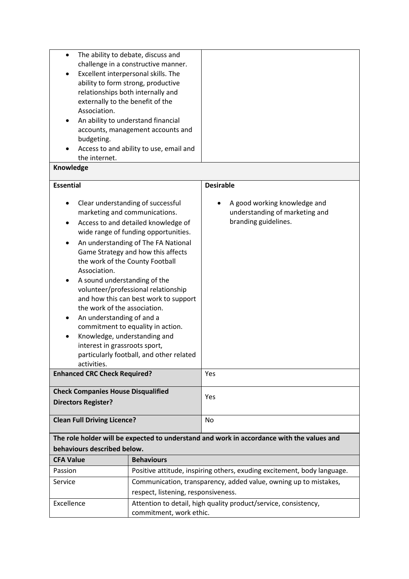| The ability to debate, discuss and<br>$\bullet$<br>challenge in a constructive manner.<br>Excellent interpersonal skills. The<br>ability to form strong, productive<br>relationships both internally and<br>externally to the benefit of the<br>Association.<br>An ability to understand financial<br>accounts, management accounts and<br>budgeting.<br>Access to and ability to use, email and<br>the internet.                                                                                                                                                                                                |                                                                 |                                                                                           |  |  |  |
|------------------------------------------------------------------------------------------------------------------------------------------------------------------------------------------------------------------------------------------------------------------------------------------------------------------------------------------------------------------------------------------------------------------------------------------------------------------------------------------------------------------------------------------------------------------------------------------------------------------|-----------------------------------------------------------------|-------------------------------------------------------------------------------------------|--|--|--|
| Knowledge                                                                                                                                                                                                                                                                                                                                                                                                                                                                                                                                                                                                        |                                                                 |                                                                                           |  |  |  |
| <b>Essential</b>                                                                                                                                                                                                                                                                                                                                                                                                                                                                                                                                                                                                 |                                                                 | <b>Desirable</b>                                                                          |  |  |  |
| Clear understanding of successful<br>marketing and communications.<br>Access to and detailed knowledge of<br>wide range of funding opportunities.<br>An understanding of The FA National<br>Game Strategy and how this affects<br>the work of the County Football<br>Association.<br>A sound understanding of the<br>volunteer/professional relationship<br>and how this can best work to support<br>the work of the association.<br>An understanding of and a<br>commitment to equality in action.<br>Knowledge, understanding and<br>interest in grassroots sport,<br>particularly football, and other related |                                                                 | A good working knowledge and<br>understanding of marketing and<br>branding guidelines.    |  |  |  |
| activities.<br><b>Enhanced CRC Check Required?</b>                                                                                                                                                                                                                                                                                                                                                                                                                                                                                                                                                               |                                                                 | Yes                                                                                       |  |  |  |
| <b>Check Companies House Disqualified</b><br><b>Directors Register?</b>                                                                                                                                                                                                                                                                                                                                                                                                                                                                                                                                          |                                                                 | Yes                                                                                       |  |  |  |
| <b>Clean Full Driving Licence?</b>                                                                                                                                                                                                                                                                                                                                                                                                                                                                                                                                                                               |                                                                 | No                                                                                        |  |  |  |
|                                                                                                                                                                                                                                                                                                                                                                                                                                                                                                                                                                                                                  |                                                                 | The role holder will be expected to understand and work in accordance with the values and |  |  |  |
| behaviours described below.                                                                                                                                                                                                                                                                                                                                                                                                                                                                                                                                                                                      |                                                                 |                                                                                           |  |  |  |
| <b>Behaviours</b><br><b>CFA Value</b>                                                                                                                                                                                                                                                                                                                                                                                                                                                                                                                                                                            |                                                                 |                                                                                           |  |  |  |
| Passion                                                                                                                                                                                                                                                                                                                                                                                                                                                                                                                                                                                                          |                                                                 | Positive attitude, inspiring others, exuding excitement, body language.                   |  |  |  |
| Service<br>respect, listening, responsiveness.                                                                                                                                                                                                                                                                                                                                                                                                                                                                                                                                                                   |                                                                 | Communication, transparency, added value, owning up to mistakes,                          |  |  |  |
| Excellence                                                                                                                                                                                                                                                                                                                                                                                                                                                                                                                                                                                                       | Attention to detail, high quality product/service, consistency, |                                                                                           |  |  |  |
|                                                                                                                                                                                                                                                                                                                                                                                                                                                                                                                                                                                                                  | commitment, work ethic.                                         |                                                                                           |  |  |  |